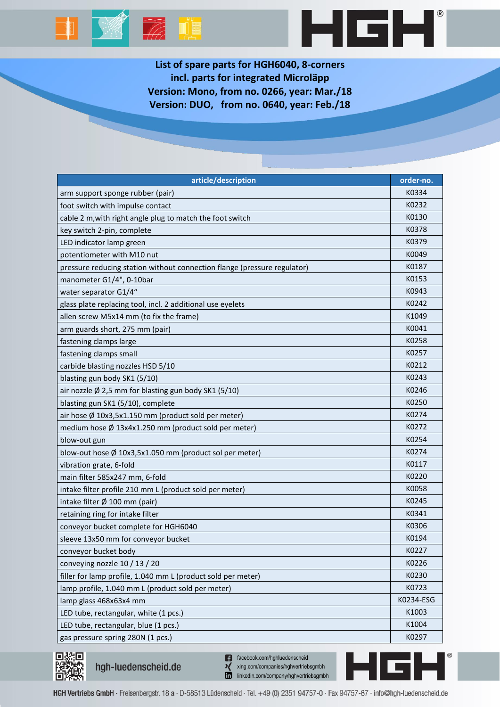



**List of spare parts for HGH6040, 8-corners incl. parts for integrated Microläpp Version: Mono, from no. 0266, year: Mar./18 Version: DUO, from no. 0640, year: Feb./18**

| article/description                                                      | order-no. |
|--------------------------------------------------------------------------|-----------|
| arm support sponge rubber (pair)                                         | K0334     |
| foot switch with impulse contact                                         | K0232     |
| cable 2 m, with right angle plug to match the foot switch                | K0130     |
| key switch 2-pin, complete                                               | K0378     |
| LED indicator lamp green                                                 | K0379     |
| potentiometer with M10 nut                                               | K0049     |
| pressure reducing station without connection flange (pressure regulator) | K0187     |
| manometer G1/4", 0-10bar                                                 | K0153     |
| water separator G1/4"                                                    | K0943     |
| glass plate replacing tool, incl. 2 additional use eyelets               | K0242     |
| allen screw M5x14 mm (to fix the frame)                                  | K1049     |
| arm guards short, 275 mm (pair)                                          | K0041     |
| fastening clamps large                                                   | K0258     |
| fastening clamps small                                                   | K0257     |
| carbide blasting nozzles HSD 5/10                                        | K0212     |
| blasting gun body SK1 (5/10)                                             | K0243     |
| air nozzle Ø 2,5 mm for blasting gun body SK1 (5/10)                     | K0246     |
| blasting gun SK1 (5/10), complete                                        | K0250     |
| air hose Ø 10x3,5x1.150 mm (product sold per meter)                      | K0274     |
| medium hose Ø 13x4x1.250 mm (product sold per meter)                     | K0272     |
| blow-out gun                                                             | K0254     |
| blow-out hose Ø 10x3,5x1.050 mm (product sol per meter)                  | K0274     |
| vibration grate, 6-fold                                                  | K0117     |
| main filter 585x247 mm, 6-fold                                           | K0220     |
| intake filter profile 210 mm L (product sold per meter)                  | K0058     |
| intake filter Ø 100 mm (pair)                                            | K0245     |
| retaining ring for intake filter                                         | K0341     |
| conveyor bucket complete for HGH6040                                     | K0306     |
| sleeve 13x50 mm for conveyor bucket                                      | K0194     |
| conveyor bucket body                                                     | K0227     |
| conveying nozzle 10 / 13 / 20                                            | K0226     |
| filler for lamp profile, 1.040 mm L (product sold per meter)             | K0230     |
| lamp profile, 1.040 mm L (product sold per meter)                        | K0723     |
| lamp glass 468x63x4 mm                                                   | K0234-ESG |
| LED tube, rectangular, white (1 pcs.)                                    | K1003     |
| LED tube, rectangular, blue (1 pcs.)                                     | K1004     |
| gas pressure spring 280N (1 pcs.)                                        | K0297     |



hgh-luedenscheid.de

n facebook.com/hghluedenscheid xing.com/companies/hghvertriebsgmbh linkedin.com/company/hghvertriebsgmbh